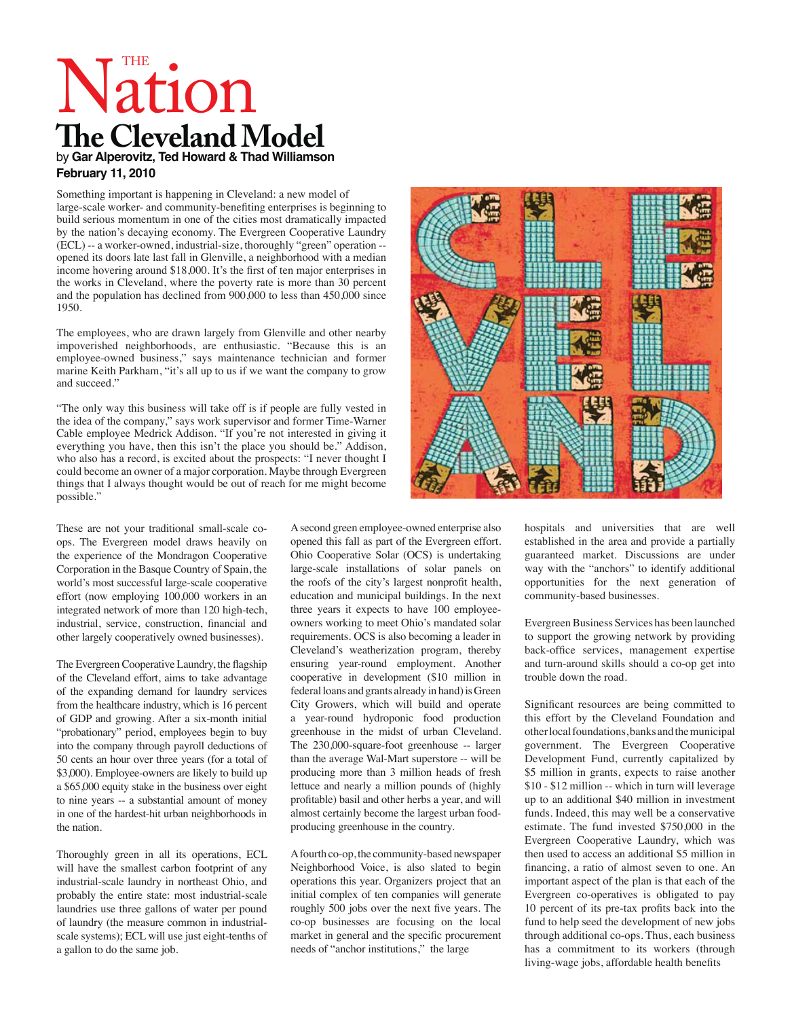## Nation<br>The Cleveland N **The Cleveland Model** by **Gar Alperovitz, Ted Howard & Thad Williamson February 11, 2010**

Something important is happening in Cleveland: a new model of large-scale worker- and community-benefiting enterprises is beginning to build serious momentum in one of the cities most dramatically impacted by the nation's decaying economy. The Evergreen Cooperative Laundry (ECL) -- a worker-owned, industrial-size, thoroughly "green" operation - opened its doors late last fall in Glenville, a neighborhood with a median income hovering around \$18,000. It's the first of ten major enterprises in the works in Cleveland, where the poverty rate is more than 30 percent and the population has declined from 900,000 to less than 450,000 since 1950.

The employees, who are drawn largely from Glenville and other nearby impoverished neighborhoods, are enthusiastic. "Because this is an employee-owned business," says maintenance technician and former marine Keith Parkham, "it's all up to us if we want the company to grow and succeed."

"The only way this business will take off is if people are fully vested in the idea of the company," says work supervisor and former Time-Warner Cable employee Medrick Addison. "If you're not interested in giving it everything you have, then this isn't the place you should be." Addison, who also has a record, is excited about the prospects: "I never thought I could become an owner of a major corporation. Maybe through Evergreen things that I always thought would be out of reach for me might become possible."

These are not your traditional small-scale coops. The Evergreen model draws heavily on the experience of the Mondragon Cooperative Corporation in the Basque Country of Spain, the world's most successful large-scale cooperative effort (now employing 100,000 workers in an integrated network of more than 120 high-tech, industrial, service, construction, financial and other largely cooperatively owned businesses).

The Evergreen Cooperative Laundry, the flagship of the Cleveland effort, aims to take advantage of the expanding demand for laundry services from the healthcare industry, which is 16 percent of GDP and growing. After a six-month initial "probationary" period, employees begin to buy into the company through payroll deductions of 50 cents an hour over three years (for a total of \$3,000). Employee-owners are likely to build up a \$65,000 equity stake in the business over eight to nine years -- a substantial amount of money in one of the hardest-hit urban neighborhoods in the nation.

Thoroughly green in all its operations, ECL will have the smallest carbon footprint of any industrial-scale laundry in northeast Ohio, and probably the entire state: most industrial-scale laundries use three gallons of water per pound of laundry (the measure common in industrialscale systems); ECL will use just eight-tenths of a gallon to do the same job.

A second green employee-owned enterprise also opened this fall as part of the Evergreen effort. Ohio Cooperative Solar (OCS) is undertaking large-scale installations of solar panels on the roofs of the city's largest nonprofit health, education and municipal buildings. In the next three years it expects to have 100 employeeowners working to meet Ohio's mandated solar requirements. OCS is also becoming a leader in Cleveland's weatherization program, thereby ensuring year-round employment. Another cooperative in development (\$10 million in federal loans and grants already in hand) is Green City Growers, which will build and operate a year-round hydroponic food production greenhouse in the midst of urban Cleveland. The 230,000-square-foot greenhouse -- larger than the average Wal-Mart superstore -- will be producing more than 3 million heads of fresh lettuce and nearly a million pounds of (highly profitable) basil and other herbs a year, and will almost certainly become the largest urban foodproducing greenhouse in the country.

A fourth co-op, the community-based newspaper Neighborhood Voice, is also slated to begin operations this year. Organizers project that an initial complex of ten companies will generate roughly 500 jobs over the next five years. The co-op businesses are focusing on the local market in general and the specific procurement needs of "anchor institutions," the large



hospitals and universities that are well established in the area and provide a partially guaranteed market. Discussions are under way with the "anchors" to identify additional opportunities for the next generation of community-based businesses.

Evergreen Business Services has been launched to support the growing network by providing back-office services, management expertise and turn-around skills should a co-op get into trouble down the road.

Significant resources are being committed to this effort by the Cleveland Foundation and other local foundations, banks and the municipal government. The Evergreen Cooperative Development Fund, currently capitalized by \$5 million in grants, expects to raise another \$10 - \$12 million -- which in turn will leverage up to an additional \$40 million in investment funds. Indeed, this may well be a conservative estimate. The fund invested \$750,000 in the Evergreen Cooperative Laundry, which was then used to access an additional \$5 million in financing, a ratio of almost seven to one. An important aspect of the plan is that each of the Evergreen co-operatives is obligated to pay 10 percent of its pre-tax profits back into the fund to help seed the development of new jobs through additional co-ops. Thus, each business has a commitment to its workers (through living-wage jobs, affordable health benefits